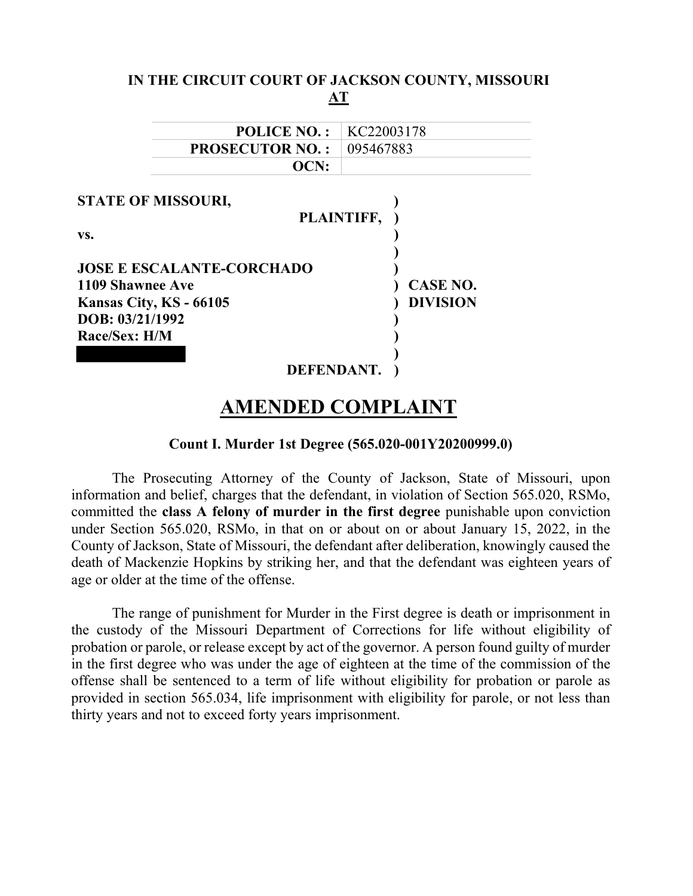| IN THE CIRCUIT COURT OF JACKSON COUNTY, MISSOURI                                                                                                                      | AT                                               |
|-----------------------------------------------------------------------------------------------------------------------------------------------------------------------|--------------------------------------------------|
| <b>POLICE NO.:</b>                                                                                                                                                    | KC22003178                                       |
| <b>PROSECUTOR NO.:</b>                                                                                                                                                | 095467883                                        |
| OCN:                                                                                                                                                                  |                                                  |
| <b>STATE OF MISSOURI,</b><br>VS.<br><b>JOSE E ESCALANTE-CORCHADO</b><br>1109 Shawnee Ave<br>Kansas City, KS - 66105<br>DOB: 03/21/1992<br>Race/Sex: H/M<br>DEFENDANT. | PLAINTIFF,<br><b>CASE NO.</b><br><b>DIVISION</b> |

# AMENDED COMPLAINT

### Count I. Murder 1st Degree (565.020-001Y20200999.0)

The Prosecuting Attorney of the County of Jackson, State of Missouri, upon information and belief, charges that the defendant, in violation of Section 565.020, RSMo, committed the class A felony of murder in the first degree punishable upon conviction under Section 565.020, RSMo, in that on or about on or about January 15, 2022, in the County of Jackson, State of Missouri, the defendant after deliberation, knowingly caused the death of Mackenzie Hopkins by striking her, and that the defendant was eighteen years of age or older at the time of the offense.

The range of punishment for Murder in the First degree is death or imprisonment in the custody of the Missouri Department of Corrections for life without eligibility of probation or parole, or release except by act of the governor. A person found guilty of murder in the first degree who was under the age of eighteen at the time of the commission of the offense shall be sentenced to a term of life without eligibility for probation or parole as provided in section 565.034, life imprisonment with eligibility for parole, or not less than thirty years and not to exceed forty years imprisonment.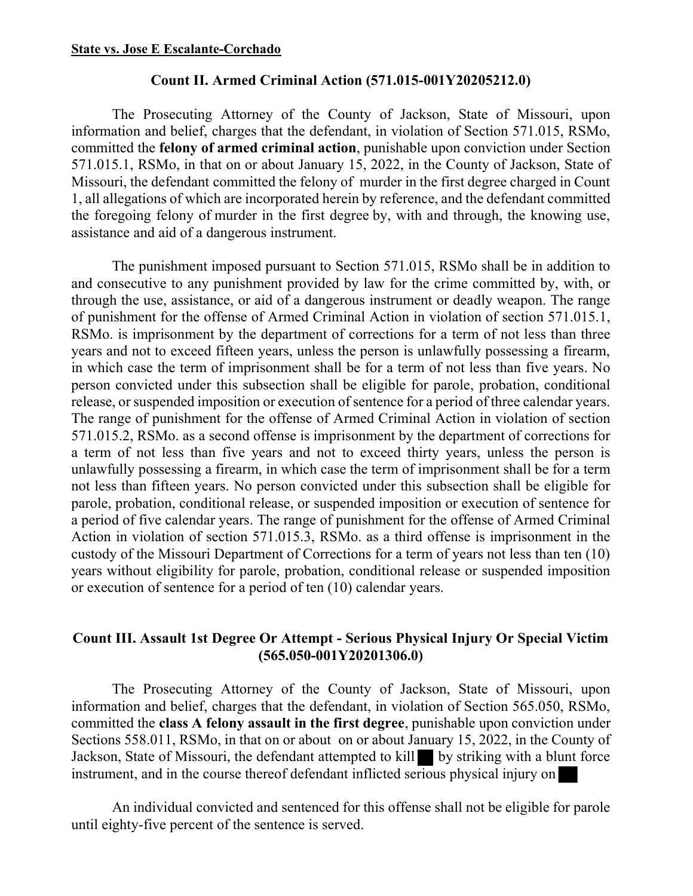#### State vs. Jose E Escalante-Corchado

#### Count II. Armed Criminal Action (571.015-001Y20205212.0)

The Prosecuting Attorney of the County of Jackson, State of Missouri, upon information and belief, charges that the defendant, in violation of Section 571.015, RSMo, committed the felony of armed criminal action, punishable upon conviction under Section 571.015.1, RSMo, in that on or about January 15, 2022, in the County of Jackson, State of Missouri, the defendant committed the felony of murder in the first degree charged in Count 1, all allegations of which are incorporated herein by reference, and the defendant committed the foregoing felony of murder in the first degree by, with and through, the knowing use, assistance and aid of a dangerous instrument.

The punishment imposed pursuant to Section 571.015, RSMo shall be in addition to and consecutive to any punishment provided by law for the crime committed by, with, or through the use, assistance, or aid of a dangerous instrument or deadly weapon. The range of punishment for the offense of Armed Criminal Action in violation of section 571.015.1, RSMo. is imprisonment by the department of corrections for a term of not less than three years and not to exceed fifteen years, unless the person is unlawfully possessing a firearm, in which case the term of imprisonment shall be for a term of not less than five years. No person convicted under this subsection shall be eligible for parole, probation, conditional release, or suspended imposition or execution of sentence for a period of three calendar years. The range of punishment for the offense of Armed Criminal Action in violation of section 571.015.2, RSMo. as a second offense is imprisonment by the department of corrections for a term of not less than five years and not to exceed thirty years, unless the person is unlawfully possessing a firearm, in which case the term of imprisonment shall be for a term not less than fifteen years. No person convicted under this subsection shall be eligible for parole, probation, conditional release, or suspended imposition or execution of sentence for a period of five calendar years. The range of punishment for the offense of Armed Criminal Action in violation of section 571.015.3, RSMo. as a third offense is imprisonment in the custody of the Missouri Department of Corrections for a term of years not less than ten (10) years without eligibility for parole, probation, conditional release or suspended imposition or execution of sentence for a period of ten (10) calendar years.

# Count III. Assault 1st Degree Or Attempt - Serious Physical Injury Or Special Victim (565.050-001Y20201306.0)

The Prosecuting Attorney of the County of Jackson, State of Missouri, upon information and belief, charges that the defendant, in violation of Section 565.050, RSMo, committed the class A felony assault in the first degree, punishable upon conviction under Sections 558.011, RSMo, in that on or about on or about January 15, 2022, in the County of Jackson, State of Missouri, the defendant attempted to kill by striking with a blunt force instrument, and in the course thereof defendant inflicted serious physical injury on

An individual convicted and sentenced for this offense shall not be eligible for parole until eighty-five percent of the sentence is served.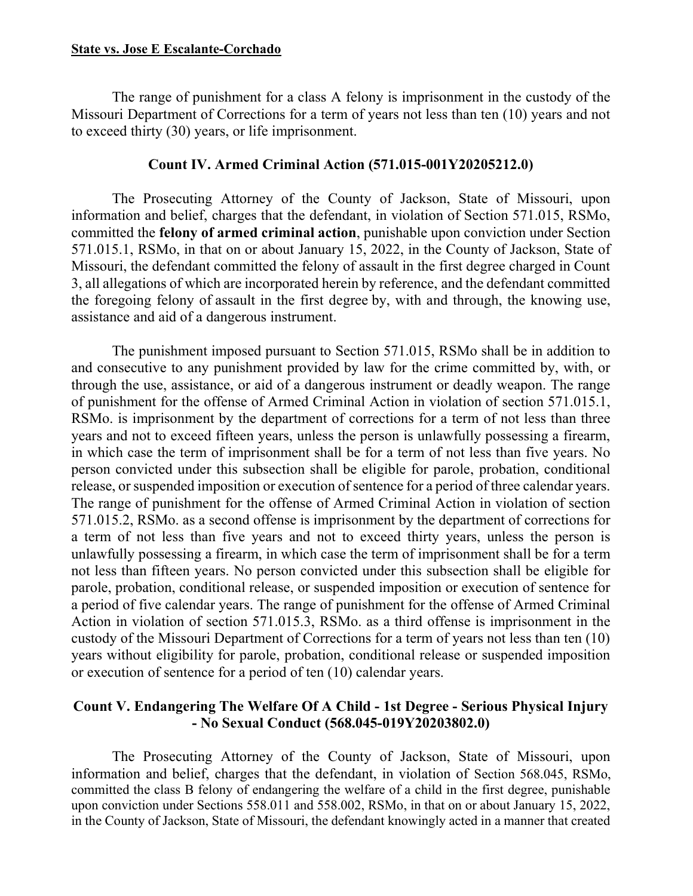The range of punishment for a class A felony is imprisonment in the custody of the Missouri Department of Corrections for a term of years not less than ten (10) years and not to exceed thirty (30) years, or life imprisonment.

## Count IV. Armed Criminal Action (571.015-001Y20205212.0)

The Prosecuting Attorney of the County of Jackson, State of Missouri, upon information and belief, charges that the defendant, in violation of Section 571.015, RSMo, committed the felony of armed criminal action, punishable upon conviction under Section 571.015.1, RSMo, in that on or about January 15, 2022, in the County of Jackson, State of Missouri, the defendant committed the felony of assault in the first degree charged in Count 3, all allegations of which are incorporated herein by reference, and the defendant committed the foregoing felony of assault in the first degree by, with and through, the knowing use, assistance and aid of a dangerous instrument.

The punishment imposed pursuant to Section 571.015, RSMo shall be in addition to and consecutive to any punishment provided by law for the crime committed by, with, or through the use, assistance, or aid of a dangerous instrument or deadly weapon. The range of punishment for the offense of Armed Criminal Action in violation of section 571.015.1, RSMo. is imprisonment by the department of corrections for a term of not less than three years and not to exceed fifteen years, unless the person is unlawfully possessing a firearm, in which case the term of imprisonment shall be for a term of not less than five years. No person convicted under this subsection shall be eligible for parole, probation, conditional release, or suspended imposition or execution of sentence for a period of three calendar years. The range of punishment for the offense of Armed Criminal Action in violation of section 571.015.2, RSMo. as a second offense is imprisonment by the department of corrections for a term of not less than five years and not to exceed thirty years, unless the person is unlawfully possessing a firearm, in which case the term of imprisonment shall be for a term not less than fifteen years. No person convicted under this subsection shall be eligible for parole, probation, conditional release, or suspended imposition or execution of sentence for a period of five calendar years. The range of punishment for the offense of Armed Criminal Action in violation of section 571.015.3, RSMo. as a third offense is imprisonment in the custody of the Missouri Department of Corrections for a term of years not less than ten (10) years without eligibility for parole, probation, conditional release or suspended imposition or execution of sentence for a period of ten (10) calendar years.

# Count V. Endangering The Welfare Of A Child - 1st Degree - Serious Physical Injury - No Sexual Conduct (568.045-019Y20203802.0)

The Prosecuting Attorney of the County of Jackson, State of Missouri, upon information and belief, charges that the defendant, in violation of Section 568.045, RSMo, committed the class B felony of endangering the welfare of a child in the first degree, punishable upon conviction under Sections 558.011 and 558.002, RSMo, in that on or about January 15, 2022, in the County of Jackson, State of Missouri, the defendant knowingly acted in a manner that created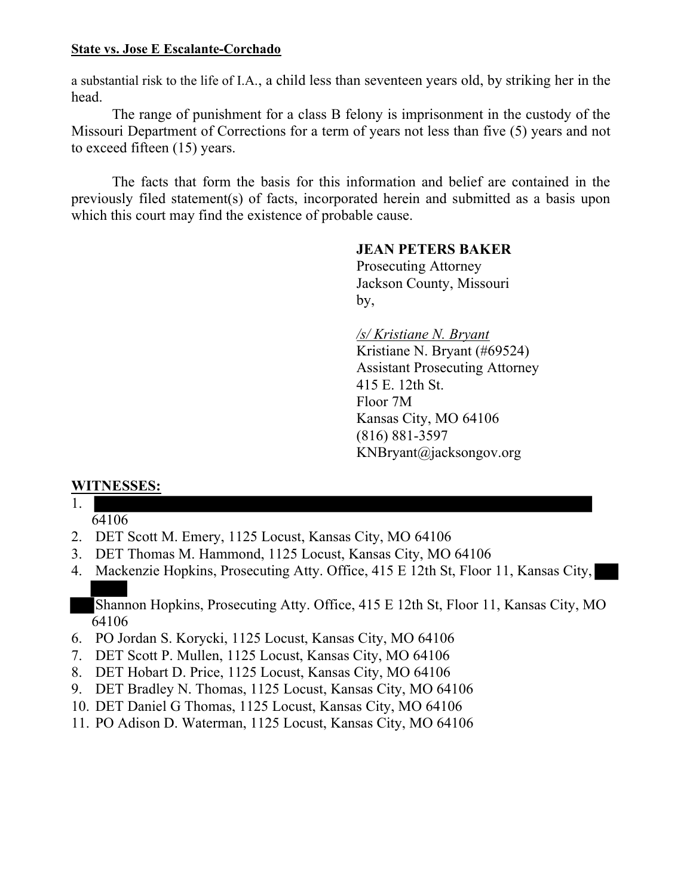## State vs. Jose E Escalante-Corchado

a substantial risk to the life of I.A., a child less than seventeen years old, by striking her in the head.

The range of punishment for a class B felony is imprisonment in the custody of the Missouri Department of Corrections for a term of years not less than five (5) years and not to exceed fifteen (15) years.

The facts that form the basis for this information and belief are contained in the previously filed statement(s) of facts, incorporated herein and submitted as a basis upon which this court may find the existence of probable cause.

# JEAN PETERS BAKER

 Prosecuting Attorney Jackson County, Missouri by,

> /s/ Kristiane N. Bryant Kristiane N. Bryant (#69524) Assistant Prosecuting Attorney 415 E. 12th St. Floor 7M Kansas City, MO 64106 (816) 881-3597 KNBryant@jacksongov.org

# WITNESSES:

- 1.
	- 64106
- 2. DET Scott M. Emery, 1125 Locust, Kansas City, MO 64106
- 3. DET Thomas M. Hammond, 1125 Locust, Kansas City, MO 64106
- 4. Mackenzie Hopkins, Prosecuting Atty. Office, 415 E 12th St, Floor 11, Kansas City,

Shannon Hopkins, Prosecuting Atty. Office, 415 E 12th St, Floor 11, Kansas City, MO 64106

- 6. PO Jordan S. Korycki, 1125 Locust, Kansas City, MO 64106
- 7. DET Scott P. Mullen, 1125 Locust, Kansas City, MO 64106
- 8. DET Hobart D. Price, 1125 Locust, Kansas City, MO 64106
- 9. DET Bradley N. Thomas, 1125 Locust, Kansas City, MO 64106
- 10. DET Daniel G Thomas, 1125 Locust, Kansas City, MO 64106
- 11. PO Adison D. Waterman, 1125 Locust, Kansas City, MO 64106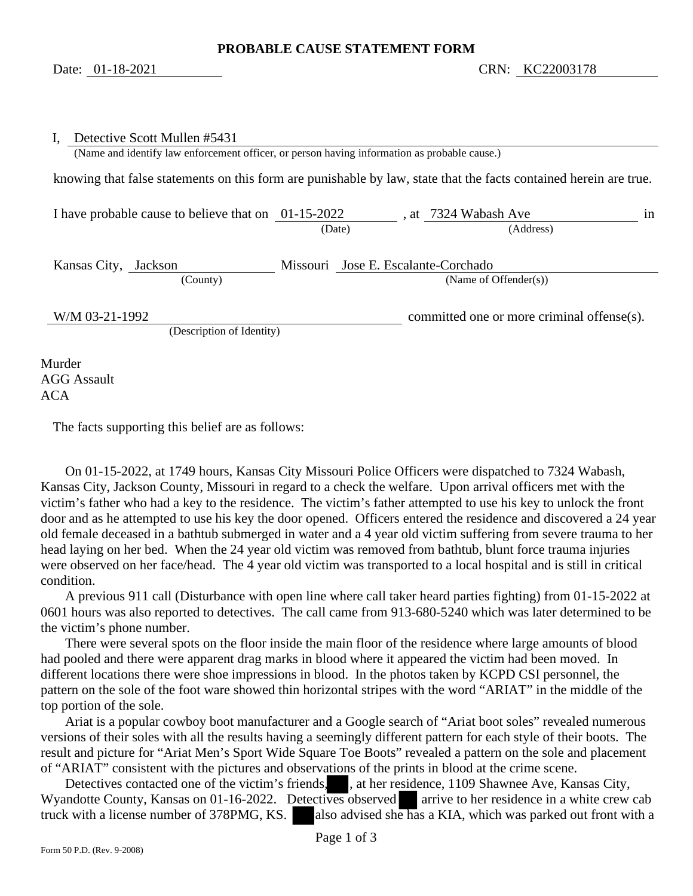| Detective Scott Mullen #5431                                                                 |        |                                                                                                                   |
|----------------------------------------------------------------------------------------------|--------|-------------------------------------------------------------------------------------------------------------------|
| (Name and identify law enforcement officer, or person having information as probable cause.) |        |                                                                                                                   |
|                                                                                              |        | knowing that false statements on this form are punishable by law, state that the facts contained herein are true. |
| I have probable cause to believe that on $01-15-2022$                                        |        | at 7324 Wabash Ave<br>in                                                                                          |
|                                                                                              | (Date) | (Address)                                                                                                         |
| Kansas City, Jackson                                                                         |        | Missouri Jose E. Escalante-Corchado                                                                               |
| (County)                                                                                     |        | (Name of Offender(s))                                                                                             |
| W/M 03-21-1992                                                                               |        | committed one or more criminal offense(s).                                                                        |
| (Description of Identity)                                                                    |        |                                                                                                                   |
| Murder<br><b>AGG Assault</b>                                                                 |        |                                                                                                                   |

ACA

The facts supporting this belief are as follows:

 On 01-15-2022, at 1749 hours, Kansas City Missouri Police Officers were dispatched to 7324 Wabash, Kansas City, Jackson County, Missouri in regard to a check the welfare. Upon arrival officers met with the victim's father who had a key to the residence. The victim's father attempted to use his key to unlock the front door and as he attempted to use his key the door opened. Officers entered the residence and discovered a 24 year old female deceased in a bathtub submerged in water and a 4 year old victim suffering from severe trauma to her head laying on her bed. When the 24 year old victim was removed from bathtub, blunt force trauma injuries were observed on her face/head. The 4 year old victim was transported to a local hospital and is still in critical condition.

 A previous 911 call (Disturbance with open line where call taker heard parties fighting) from 01-15-2022 at 0601 hours was also reported to detectives. The call came from 913-680-5240 which was later determined to be the victim's phone number.

 There were several spots on the floor inside the main floor of the residence where large amounts of blood had pooled and there were apparent drag marks in blood where it appeared the victim had been moved. In different locations there were shoe impressions in blood. In the photos taken by KCPD CSI personnel, the pattern on the sole of the foot ware showed thin horizontal stripes with the word "ARIAT" in the middle of the top portion of the sole.

 Ariat is a popular cowboy boot manufacturer and a Google search of "Ariat boot soles" revealed numerous versions of their soles with all the results having a seemingly different pattern for each style of their boots. The result and picture for "Ariat Men's Sport Wide Square Toe Boots" revealed a pattern on the sole and placement of "ARIAT" consistent with the pictures and observations of the prints in blood at the crime scene.

Detectives contacted one of the victim's friends, , at her residence, 1109 Shawnee Ave, Kansas City, Wyandotte County, Kansas on 01-16-2022. Detectives observed arrive to her residence in a white crew cab truck with a license number of  $378PMG$ , KS. also advised she has a KIA, which was parked out front with a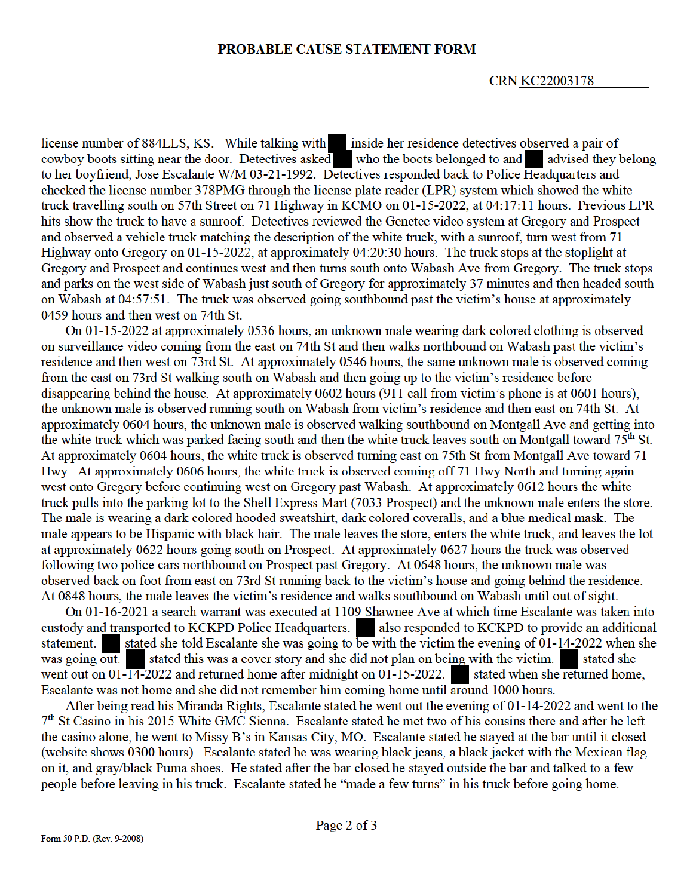#### PROBABLE CAUSE STATEMENT FORM

#### **CRN KC22003178**

license number of 884LLS, KS. While talking with inside her residence detectives observed a pair of cowboy boots sitting near the door. Detectives asked who the boots belonged to and advised they belong to her boyfriend, Jose Escalante W/M 03-21-1992. Detectives responded back to Police Headquarters and checked the license number 378PMG through the license plate reader (LPR) system which showed the white truck travelling south on 57th Street on 71 Highway in KCMO on 01-15-2022, at 04:17:11 hours. Previous LPR hits show the truck to have a sunroof. Detectives reviewed the Genetec video system at Gregory and Prospect and observed a vehicle truck matching the description of the white truck, with a sunroof, turn west from 71 Highway onto Gregory on 01-15-2022, at approximately 04:20:30 hours. The truck stops at the stoplight at Gregory and Prospect and continues west and then turns south onto Wabash Ave from Gregory. The truck stops and parks on the west side of Wabash just south of Gregory for approximately 37 minutes and then headed south on Wabash at 04:57:51. The truck was observed going southbound past the victim's house at approximately 0459 hours and then west on 74th St.

On 01-15-2022 at approximately 0536 hours, an unknown male wearing dark colored clothing is observed on surveillance video coming from the east on 74th St and then walks northbound on Wabash past the victim's residence and then west on 73rd St. At approximately 0546 hours, the same unknown male is observed coming from the east on 73rd St walking south on Wabash and then going up to the victim's residence before disappearing behind the house. At approximately 0602 hours (911 call from victim's phone is at 0601 hours), the unknown male is observed running south on Wabash from victim's residence and then east on 74th St. At approximately 0604 hours, the unknown male is observed walking southbound on Montgall Ave and getting into the white truck which was parked facing south and then the white truck leaves south on Montgall toward 75<sup>th</sup> St. At approximately 0604 hours, the white truck is observed turning east on 75th St from Montgall Ave toward 71 Hwy. At approximately 0606 hours, the white truck is observed coming off 71 Hwy North and turning again west onto Gregory before continuing west on Gregory past Wabash. At approximately 0612 hours the white truck pulls into the parking lot to the Shell Express Mart (7033 Prospect) and the unknown male enters the store. The male is wearing a dark colored hooded sweatshirt, dark colored coveralls, and a blue medical mask. The male appears to be Hispanic with black hair. The male leaves the store, enters the white truck, and leaves the lot at approximately 0622 hours going south on Prospect. At approximately 0627 hours the truck was observed following two police cars northbound on Prospect past Gregory. At 0648 hours, the unknown male was observed back on foot from east on 73rd St running back to the victim's house and going behind the residence. At 0848 hours, the male leaves the victim's residence and walks southbound on Wabash until out of sight.

On 01-16-2021 a search warrant was executed at 1109 Shawnee Ave at which time Escalante was taken into custody and transported to KCKPD Police Headquarters. also responded to KCKPD to provide an additional stated she told Escalante she was going to be with the victim the evening of  $01-14-2022$  when she statement. stated this was a cover story and she did not plan on being with the victim. was going out. stated she went out on  $01\overline{14}$ -2022 and returned home after midnight on  $01\overline{15}$ -2022. stated when she returned home. Escalante was not home and she did not remember him coming home until around 1000 hours.

After being read his Miranda Rights, Escalante stated he went out the evening of 01-14-2022 and went to the 7<sup>th</sup> St Casino in his 2015 White GMC Sienna. Escalante stated he met two of his cousins there and after he left the casino alone, he went to Missy B's in Kansas City, MO. Escalante stated he stayed at the bar until it closed (website shows 0300 hours). Escalante stated he was wearing black jeans, a black jacket with the Mexican flag on it, and gray/black Puma shoes. He stated after the bar closed he stayed outside the bar and talked to a few people before leaving in his truck. Escalante stated he "made a few turns" in his truck before going home.